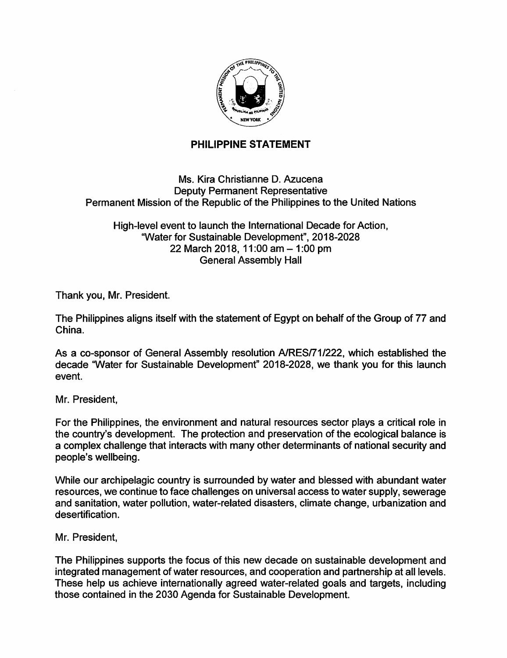

## PHILIPPINE STATEMENT

## Ms. Kira Christianne D. Azucena Deputy Permanent Representative Permanent Mission of the Republic of the Philippines to the United Nations

High-level event to launch the International Decade for Action, "Water for Sustainable Development", 2018-2028 22 March 2018, 11:00 am - 1:00 pm General Assembly Hall

Thank you, Mr. President.

The Philippines aligns itself with the statement of Egypt on behalf of the Group of 77 and China.

As a co-sponsor of General Assembly resolution A/RES/71/222, which established the decade "Water for Sustainable Development" 2018-2028, we thank you for this launch event.

Mr. President,

For the Philippines, the environment and natural resources sector plays a critical role in the country's development. The protection and preservation of the ecological balance is a complex challenge that interacts with many other determinants of national security and people's wellbeing.

While our archipelagic country is surrounded by water and blessed with abundant water resources, we continue to face challenges on universal access to water supply, sewerage and sanitation, water pollution, water-related disasters, climate change, urbanization and desertification.

Mr. President,

The Philippines supports the focus of this new decade on sustainable development and integrated management of water resources, and cooperation and partnership at all levels. These help us achieve internationally agreed water-related goals and targets, including those contained in the 2030 Agenda for Sustainable Development.